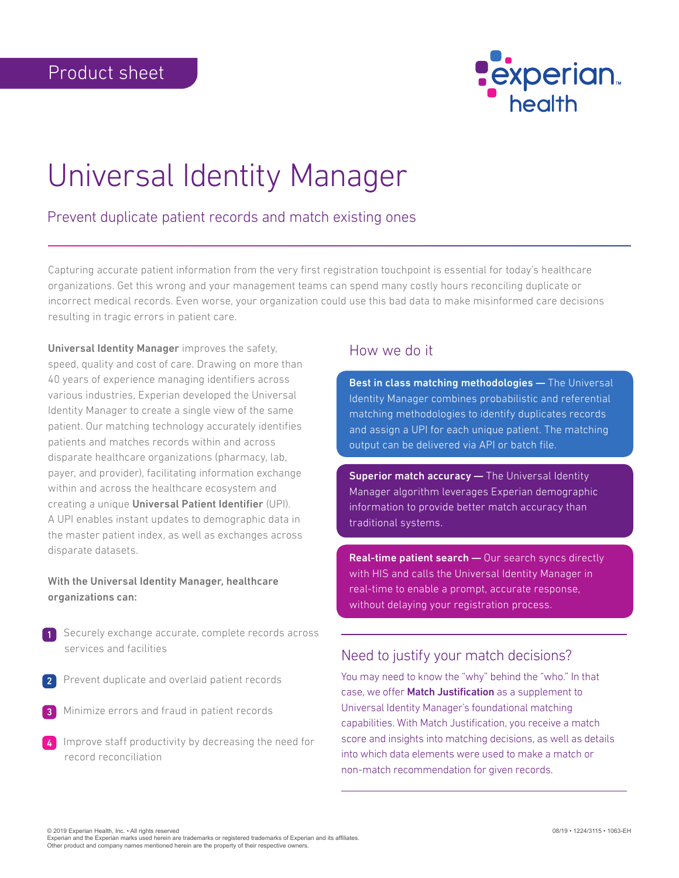

# Universal Identity Manager

### Prevent duplicate patient records and match existing ones

Capturing accurate patient information from the very first registration touchpoint is essential for today's healthcare organizations. Get this wrong and your management teams can spend many costly hours reconciling duplicate or incorrect medical records. Even worse, your organization could use this bad data to make misinformed care decisions resulting in tragic errors in patient care.

Universal Identity Manager improves the safety, speed, quality and cost of care. Drawing on more than 40 years of experience managing identifiers across various industries, Experian developed the Universal Identity Manager to create a single view of the same patient. Our matching technology accurately identifies patients and matches records within and across disparate healthcare organizations (pharmacy, lab, payer, and provider), facilitating information exchange within and across the healthcare ecosystem and creating a unique Universal Patient Identifier (UPI). A UPI enables instant updates to demographic data in the master patient index, as well as exchanges across disparate datasets.

#### With the Universal Identity Manager, healthcare organizations can:

- Securely exchange accurate, complete records across services and facilities
- Prevent duplicate and overlaid patient records 2
- Minimize errors and fraud in patient records 3
- Improve staff productivity by decreasing the need for record reconciliation 4

#### How we do it

Best in class matching methodologies - The Universal Identity Manager combines probabilistic and referential matching methodologies to identify duplicates records and assign a UPI for each unique patient. The matching output can be delivered via API or batch file.

Superior match accuracy - The Universal Identity Manager algorithm leverages Experian demographic information to provide better match accuracy than traditional systems.

Real-time patient search - Our search syncs directly with HIS and calls the Universal Identity Manager in real-time to enable a prompt, accurate response, without delaying your registration process.

#### Need to justify your match decisions?

You may need to know the "why" behind the "who." In that case, we offer Match Justification as a supplement to Universal Identity Manager's foundational matching capabilities. With Match Justification, you receive a match score and insights into matching decisions, as well as details into which data elements were used to make a match or non-match recommendation for given records.

08/19 • 1224/3115 • 1063-EH